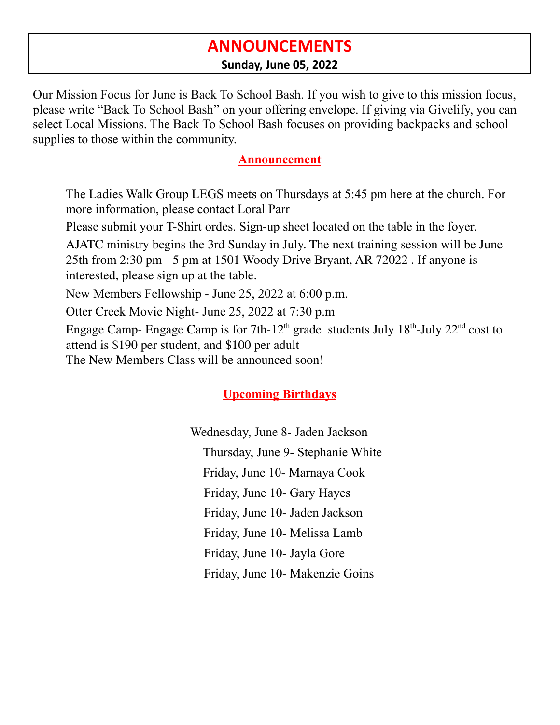## **ANNOUNCEMENTS**

#### **Sunday, June 05, 2022**

Our Mission Focus for June is Back To School Bash. If you wish to give to this mission focus, please write "Back To School Bash" on your offering envelope. If giving via Givelify, you can select Local Missions. The Back To School Bash focuses on providing backpacks and school supplies to those within the community.

#### **Announcement**

The Ladies Walk Group LEGS meets on Thursdays at 5:45 pm here at the church. For more information, please contact Loral Parr

Please submit your T-Shirt ordes. Sign-up sheet located on the table in the foyer.

AJATC ministry begins the 3rd Sunday in July. The next training session will be June 25th from 2:30 pm - 5 pm at 1501 Woody Drive Bryant, AR 72022 . If anyone is interested, please sign up at the table.

New Members Fellowship - June 25, 2022 at 6:00 p.m.

Otter Creek Movie Night- June 25, 2022 at 7:30 p.m

Engage Camp- Engage Camp is for  $7th-12<sup>th</sup>$  grade students July  $18<sup>th</sup>$ -July  $22<sup>nd</sup>$  cost to attend is \$190 per student, and \$100 per adult

The New Members Class will be announced soon!

## **Upcoming Birthdays**

Wednesday, June 8- Jaden Jackson Thursday, June 9- Stephanie White Friday, June 10- Marnaya Cook Friday, June 10- Gary Hayes Friday, June 10- Jaden Jackson Friday, June 10- Melissa Lamb Friday, June 10- Jayla Gore Friday, June 10- Makenzie Goins